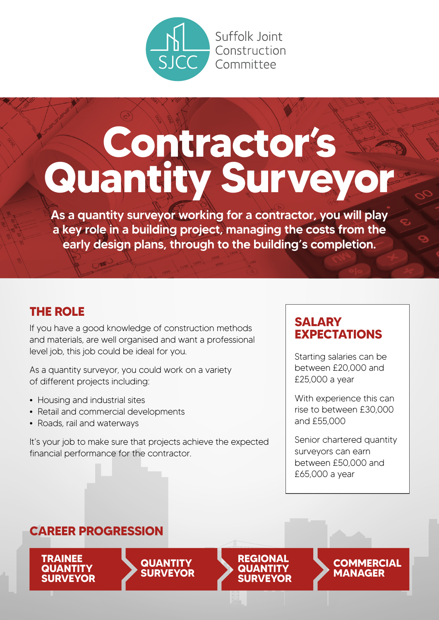

Suffolk loint Construction Committee

# **Contractor's Quantity Surveyor**

As a quantity surveyor working for a contractor, you will play a key role in a building project, managing the costs from the early design plans, through to the building's completion.

### **THE ROLE**

If you have a good knowledge of construction methods and materials, are well organised and want a professional level job, this job could be ideal for you.

As a quantity surveyor, you could work on a variety of different projects including:

- **•** Housing and industrial sites
- **•** Retail and commercial developments
- **•** Roads, rail and waterways

It's your job to make sure that projects achieve the expected financial performance for the contractor.

### **SALARY EXPECTATIONS**

Starting salaries can be between £20,000 and £25,000 a year

With experience this can rise to between £30,000 and £55,000

Senior chartered quantity surveyors can earn between £50,000 and £65,000 a year

> **COMMERCIAL MANAGER**

**REGIONAL QUANTIT SURVEYOR**

### **CAREER PROGRESSION**

**TRAINEE QUANTITY SURVEYOR**